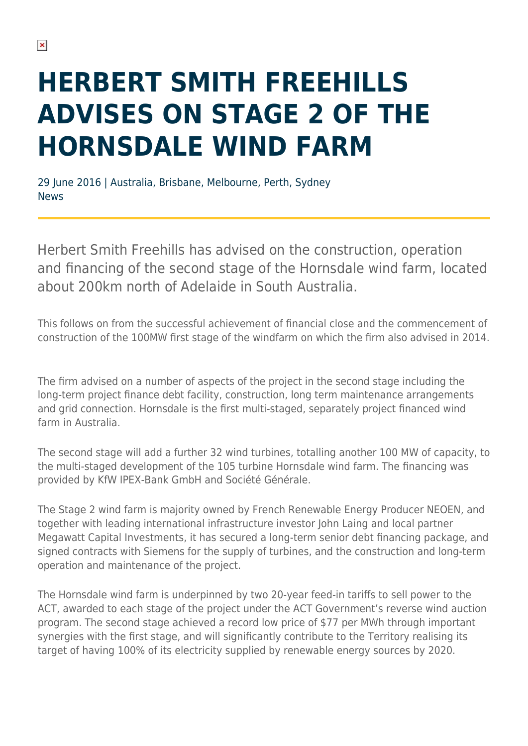## **HERBERT SMITH FREEHILLS ADVISES ON STAGE 2 OF THE HORNSDALE WIND FARM**

29 June 2016 | Australia, Brisbane, Melbourne, Perth, Sydney News

Herbert Smith Freehills has advised on the construction, operation and financing of the second stage of the Hornsdale wind farm, located about 200km north of Adelaide in South Australia.

This follows on from the successful achievement of financial close and the commencement of construction of the 100MW first stage of the windfarm on which the firm also advised in 2014.

The firm advised on a number of aspects of the project in the second stage including the long-term project finance debt facility, construction, long term maintenance arrangements and grid connection. Hornsdale is the first multi-staged, separately project financed wind farm in Australia.

The second stage will add a further 32 wind turbines, totalling another 100 MW of capacity, to the multi-staged development of the 105 turbine Hornsdale wind farm. The financing was provided by KfW IPEX-Bank GmbH and Société Générale.

The Stage 2 wind farm is majority owned by French Renewable Energy Producer NEOEN, and together with leading international infrastructure investor John Laing and local partner Megawatt Capital Investments, it has secured a long-term senior debt financing package, and signed contracts with Siemens for the supply of turbines, and the construction and long-term operation and maintenance of the project.

The Hornsdale wind farm is underpinned by two 20-year feed-in tariffs to sell power to the ACT, awarded to each stage of the project under the ACT Government's reverse wind auction program. The second stage achieved a record low price of \$77 per MWh through important synergies with the first stage, and will significantly contribute to the Territory realising its target of having 100% of its electricity supplied by renewable energy sources by 2020.